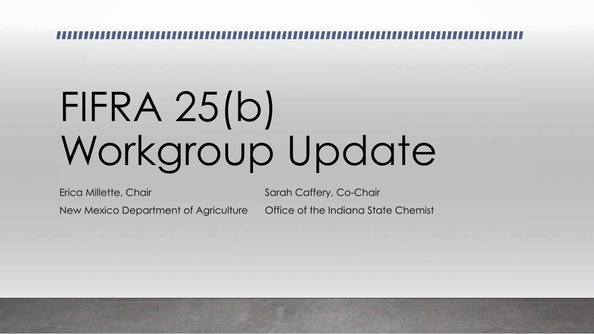# FIFRA 25(b) Workgroup Update

Erica Millette, Chair New Mexico Department of Agriculture Sarah Caffery, Co-Chair Office of the Indiana State Chemist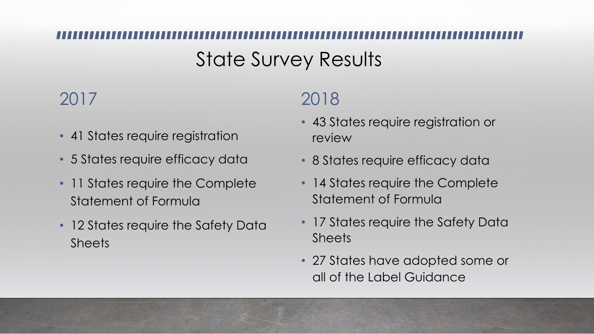## State Survey Results

#### 2017

- 41 States require registration
- 5 States require efficacy data
- 11 States require the Complete Statement of Formula
- 12 States require the Safety Data **Sheets**

#### 2018

- 43 States require registration or review
- 8 States require efficacy data
- 14 States require the Complete Statement of Formula
- 17 States require the Safety Data Sheets
- 27 States have adopted some or all of the Label Guidance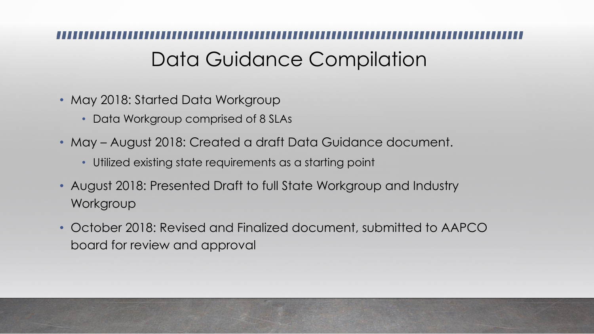### Data Guidance Compilation

- May 2018: Started Data Workgroup
	- Data Workgroup comprised of 8 SLAs
- May August 2018: Created a draft Data Guidance document.
	- Utilized existing state requirements as a starting point
- August 2018: Presented Draft to full State Workgroup and Industry **Workgroup**
- October 2018: Revised and Finalized document, submitted to AAPCO board for review and approval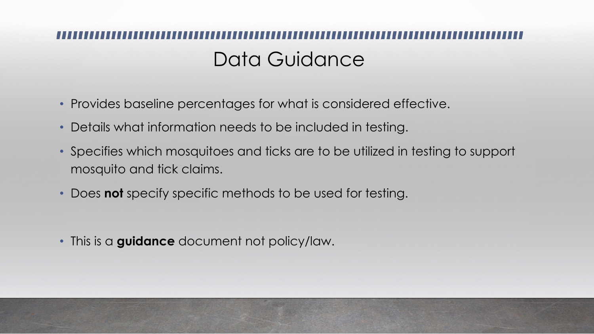## Data Guidance

- Provides baseline percentages for what is considered effective.
- Details what information needs to be included in testing.
- Specifies which mosquitoes and ticks are to be utilized in testing to support mosquito and tick claims.
- Does **not** specify specific methods to be used for testing.

• This is a **guidance** document not policy/law.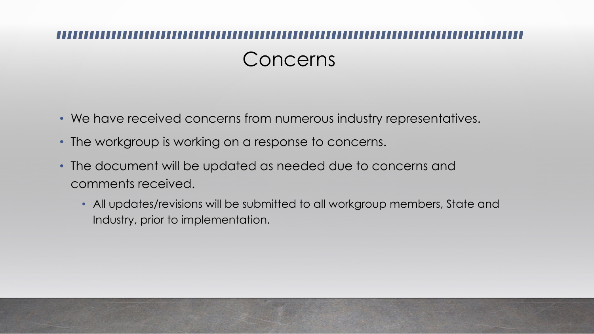# Concerns

- We have received concerns from numerous industry representatives.
- The workgroup is working on a response to concerns.
- The document will be updated as needed due to concerns and comments received.
	- All updates/revisions will be submitted to all workgroup members, State and Industry, prior to implementation.